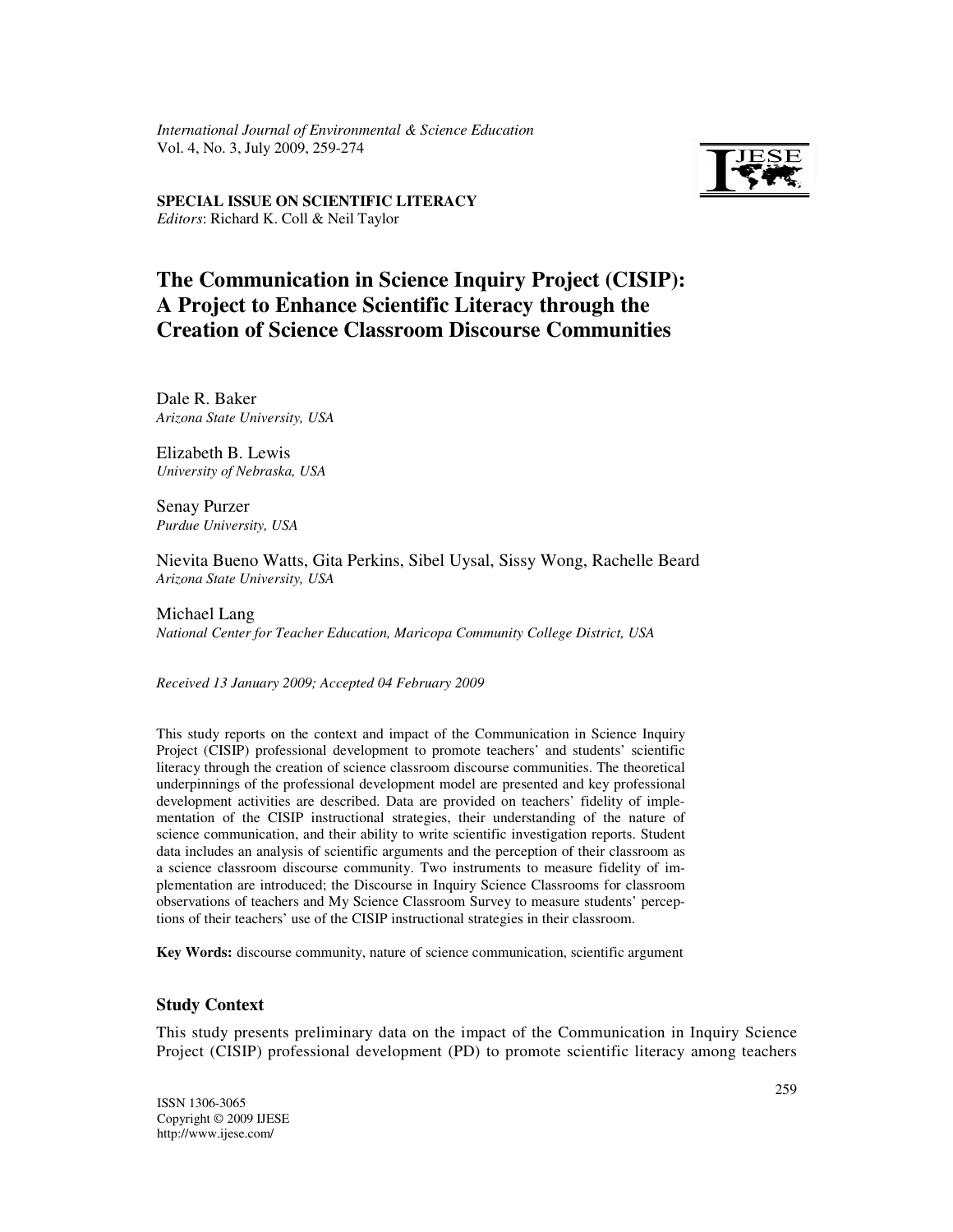*International Journal of Environmental & Science Education*  Vol. 4, No. 3, July 2009, 259-274



Editors: Richard K. Coll & Neil Taylor **SPECIAL ISSUE ON SCIENTIFIC LITERACY** 

# **The Communication in Science Inquiry Project (CISIP): A Project to Enhance Scientific Literacy through the Creation of Science Classroom Discourse Communities**

Dale R. Baker *Arizona State University, USA* 

Elizabeth B. Lewis *University of Nebraska, USA* 

Senay Purzer *Purdue University, USA* 

Nievita Bueno Watts, Gita Perkins, Sibel Uysal, Sissy Wong, Rachelle Beard *Arizona State University, USA* 

Michael Lang *National Center for Teacher Education, Maricopa Community College District, USA* 

*Received 13 January 2009; Accepted 04 February 2009*

This study reports on the context and impact of the Communication in Science Inquiry Project (CISIP) professional development to promote teachers' and students' scientific literacy through the creation of science classroom discourse communities. The theoretical underpinnings of the professional development model are presented and key professional development activities are described. Data are provided on teachers' fidelity of implementation of the CISIP instructional strategies, their understanding of the nature of science communication, and their ability to write scientific investigation reports. Student data includes an analysis of scientific arguments and the perception of their classroom as a science classroom discourse community. Two instruments to measure fidelity of implementation are introduced; the Discourse in Inquiry Science Classrooms for classroom observations of teachers and My Science Classroom Survey to measure students' perceptions of their teachers' use of the CISIP instructional strategies in their classroom.

**Key Words:** discourse community, nature of science communication, scientific argument

# **Study Context**

This study presents preliminary data on the impact of the Communication in Inquiry Science Project (CISIP) professional development (PD) to promote scientific literacy among teachers

ISSN 1306-3065 Copyright © 2009 IJESE http://www.ijese.com/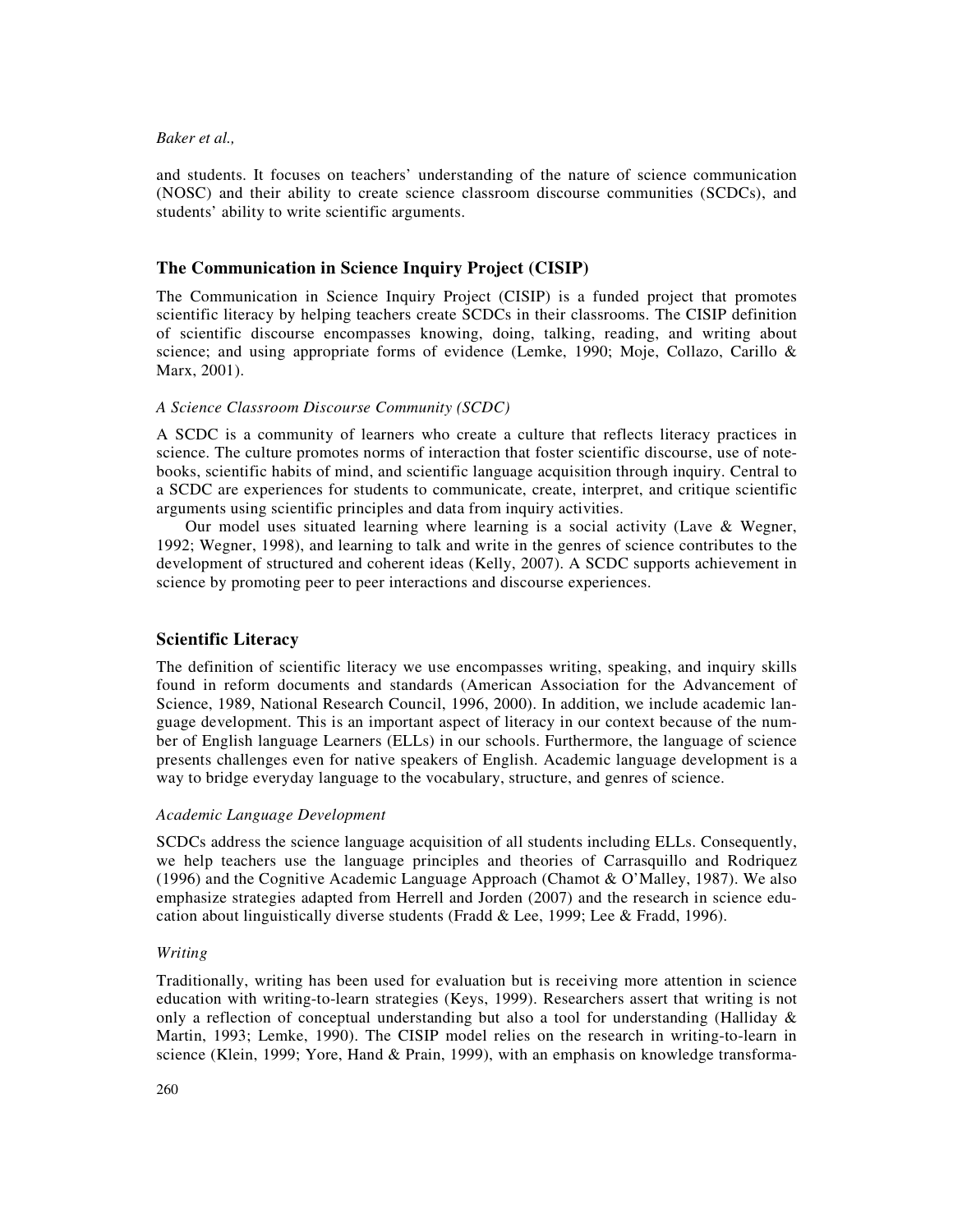and students. It focuses on teachers' understanding of the nature of science communication (NOSC) and their ability to create science classroom discourse communities (SCDCs), and students' ability to write scientific arguments.

# **The Communication in Science Inquiry Project (CISIP)**

The Communication in Science Inquiry Project (CISIP) is a funded project that promotes scientific literacy by helping teachers create SCDCs in their classrooms. The CISIP definition of scientific discourse encompasses knowing, doing, talking, reading, and writing about science; and using appropriate forms of evidence (Lemke, 1990; Moje, Collazo, Carillo  $\&$ Marx, 2001).

#### *A Science Classroom Discourse Community (SCDC)*

A SCDC is a community of learners who create a culture that reflects literacy practices in science. The culture promotes norms of interaction that foster scientific discourse, use of notebooks, scientific habits of mind, and scientific language acquisition through inquiry. Central to a SCDC are experiences for students to communicate, create, interpret, and critique scientific arguments using scientific principles and data from inquiry activities.

Our model uses situated learning where learning is a social activity (Lave & Wegner, 1992; Wegner, 1998), and learning to talk and write in the genres of science contributes to the development of structured and coherent ideas (Kelly, 2007). A SCDC supports achievement in science by promoting peer to peer interactions and discourse experiences.

# **Scientific Literacy**

The definition of scientific literacy we use encompasses writing, speaking, and inquiry skills found in reform documents and standards (American Association for the Advancement of Science, 1989, National Research Council, 1996, 2000). In addition, we include academic language development. This is an important aspect of literacy in our context because of the number of English language Learners (ELLs) in our schools. Furthermore, the language of science presents challenges even for native speakers of English. Academic language development is a way to bridge everyday language to the vocabulary, structure, and genres of science.

# *Academic Language Development*

SCDCs address the science language acquisition of all students including ELLs. Consequently, we help teachers use the language principles and theories of Carrasquillo and Rodriquez (1996) and the Cognitive Academic Language Approach (Chamot & O'Malley, 1987). We also emphasize strategies adapted from Herrell and Jorden (2007) and the research in science education about linguistically diverse students (Fradd & Lee, 1999; Lee & Fradd, 1996).

#### *Writing*

Traditionally, writing has been used for evaluation but is receiving more attention in science education with writing-to-learn strategies (Keys, 1999). Researchers assert that writing is not only a reflection of conceptual understanding but also a tool for understanding (Halliday  $\&$ Martin, 1993; Lemke, 1990). The CISIP model relies on the research in writing-to-learn in science (Klein, 1999; Yore, Hand & Prain, 1999), with an emphasis on knowledge transforma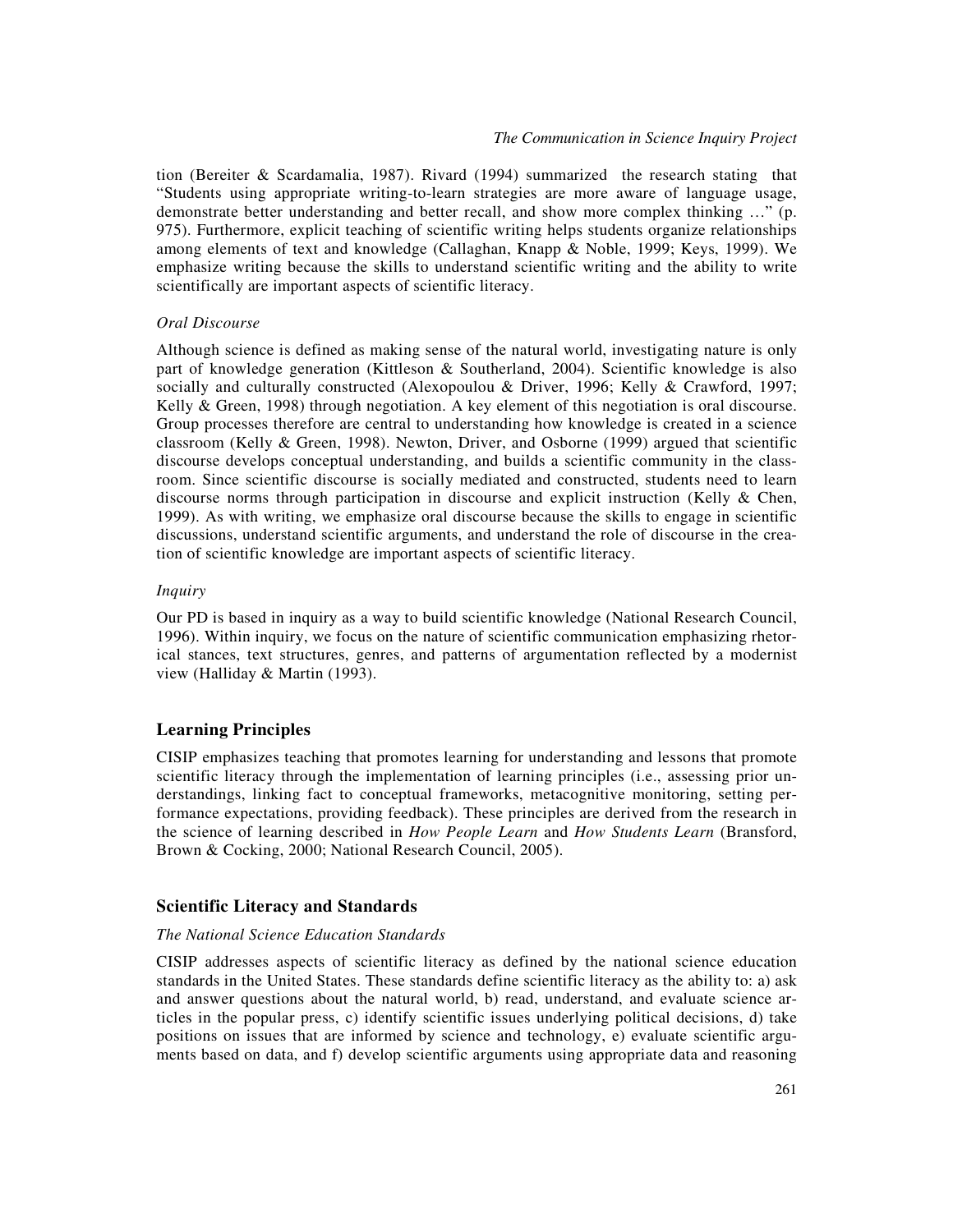tion (Bereiter & Scardamalia, 1987). Rivard (1994) summarized the research stating that "Students using appropriate writing-to-learn strategies are more aware of language usage, demonstrate better understanding and better recall, and show more complex thinking …" (p. 975). Furthermore, explicit teaching of scientific writing helps students organize relationships among elements of text and knowledge (Callaghan, Knapp & Noble, 1999; Keys, 1999). We emphasize writing because the skills to understand scientific writing and the ability to write scientifically are important aspects of scientific literacy.

## *Oral Discourse*

Although science is defined as making sense of the natural world, investigating nature is only part of knowledge generation (Kittleson & Southerland, 2004). Scientific knowledge is also socially and culturally constructed (Alexopoulou & Driver, 1996; Kelly & Crawford, 1997; Kelly & Green, 1998) through negotiation. A key element of this negotiation is oral discourse. Group processes therefore are central to understanding how knowledge is created in a science classroom (Kelly & Green, 1998). Newton, Driver, and Osborne (1999) argued that scientific discourse develops conceptual understanding, and builds a scientific community in the classroom. Since scientific discourse is socially mediated and constructed, students need to learn discourse norms through participation in discourse and explicit instruction (Kelly & Chen, 1999). As with writing, we emphasize oral discourse because the skills to engage in scientific discussions, understand scientific arguments, and understand the role of discourse in the creation of scientific knowledge are important aspects of scientific literacy.

## *Inquiry*

Our PD is based in inquiry as a way to build scientific knowledge (National Research Council, 1996). Within inquiry, we focus on the nature of scientific communication emphasizing rhetorical stances, text structures, genres, and patterns of argumentation reflected by a modernist view (Halliday & Martin (1993).

# **Learning Principles**

CISIP emphasizes teaching that promotes learning for understanding and lessons that promote scientific literacy through the implementation of learning principles (i.e., assessing prior understandings, linking fact to conceptual frameworks, metacognitive monitoring, setting performance expectations, providing feedback). These principles are derived from the research in the science of learning described in *How People Learn* and *How Students Learn* (Bransford, Brown & Cocking, 2000; National Research Council, 2005).

## **Scientific Literacy and Standards**

#### *The National Science Education Standards*

CISIP addresses aspects of scientific literacy as defined by the national science education standards in the United States. These standards define scientific literacy as the ability to: a) ask and answer questions about the natural world, b) read, understand, and evaluate science articles in the popular press, c) identify scientific issues underlying political decisions, d) take positions on issues that are informed by science and technology, e) evaluate scientific arguments based on data, and f) develop scientific arguments using appropriate data and reasoning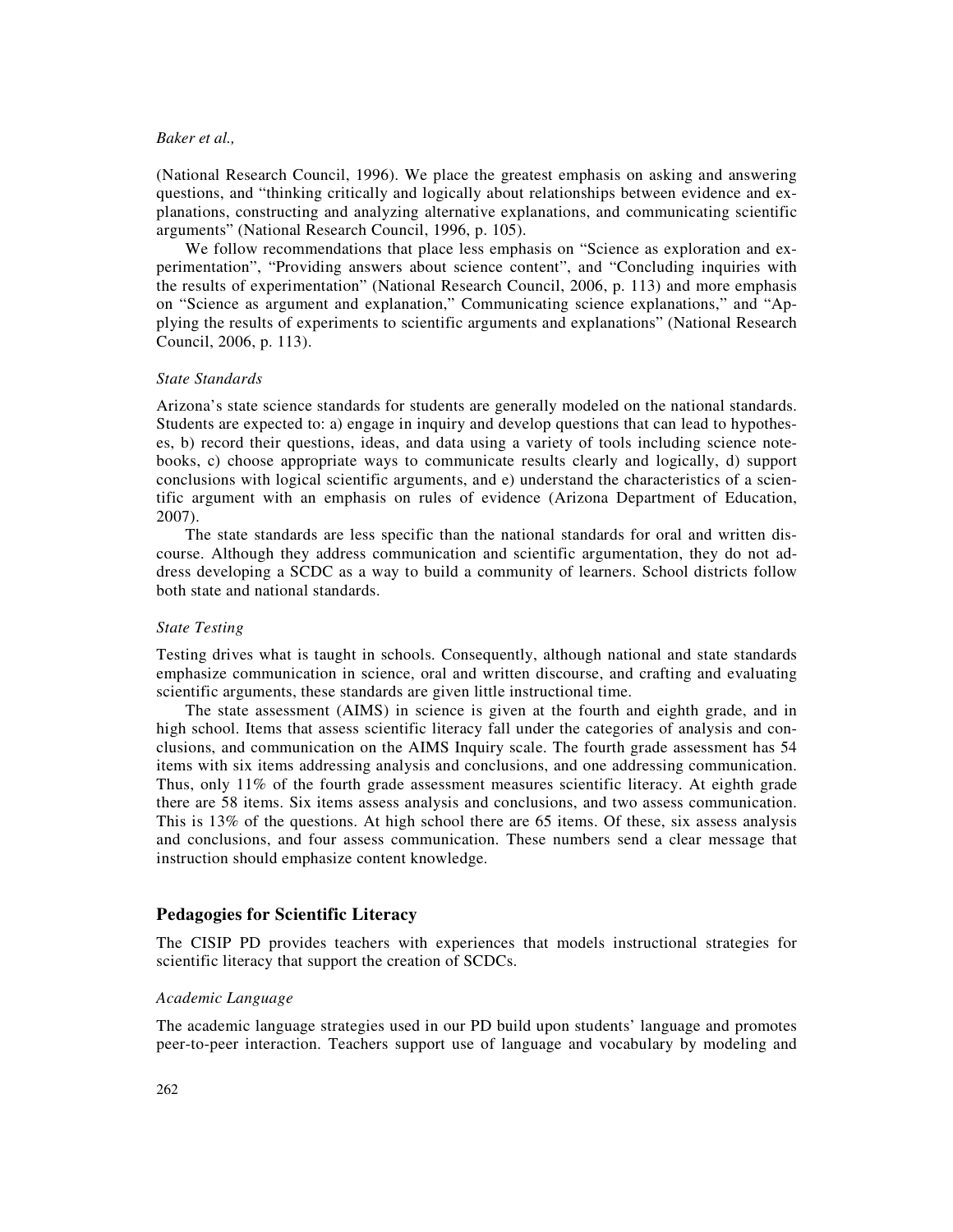(National Research Council, 1996). We place the greatest emphasis on asking and answering questions, and "thinking critically and logically about relationships between evidence and explanations, constructing and analyzing alternative explanations, and communicating scientific arguments" (National Research Council, 1996, p. 105).

We follow recommendations that place less emphasis on "Science as exploration and experimentation", "Providing answers about science content", and "Concluding inquiries with the results of experimentation" (National Research Council, 2006, p. 113) and more emphasis on "Science as argument and explanation," Communicating science explanations," and "Applying the results of experiments to scientific arguments and explanations" (National Research Council, 2006, p. 113).

## *State Standards*

Arizona's state science standards for students are generally modeled on the national standards. Students are expected to: a) engage in inquiry and develop questions that can lead to hypotheses, b) record their questions, ideas, and data using a variety of tools including science notebooks, c) choose appropriate ways to communicate results clearly and logically, d) support conclusions with logical scientific arguments, and e) understand the characteristics of a scientific argument with an emphasis on rules of evidence (Arizona Department of Education, 2007).

The state standards are less specific than the national standards for oral and written discourse. Although they address communication and scientific argumentation, they do not address developing a SCDC as a way to build a community of learners. School districts follow both state and national standards.

#### *State Testing*

Testing drives what is taught in schools. Consequently, although national and state standards emphasize communication in science, oral and written discourse, and crafting and evaluating scientific arguments, these standards are given little instructional time.

The state assessment (AIMS) in science is given at the fourth and eighth grade, and in high school. Items that assess scientific literacy fall under the categories of analysis and conclusions, and communication on the AIMS Inquiry scale. The fourth grade assessment has 54 items with six items addressing analysis and conclusions, and one addressing communication. Thus, only 11% of the fourth grade assessment measures scientific literacy. At eighth grade there are 58 items. Six items assess analysis and conclusions, and two assess communication. This is 13% of the questions. At high school there are 65 items. Of these, six assess analysis and conclusions, and four assess communication. These numbers send a clear message that instruction should emphasize content knowledge.

# **Pedagogies for Scientific Literacy**

The CISIP PD provides teachers with experiences that models instructional strategies for scientific literacy that support the creation of SCDCs.

#### *Academic Language*

The academic language strategies used in our PD build upon students' language and promotes peer-to-peer interaction. Teachers support use of language and vocabulary by modeling and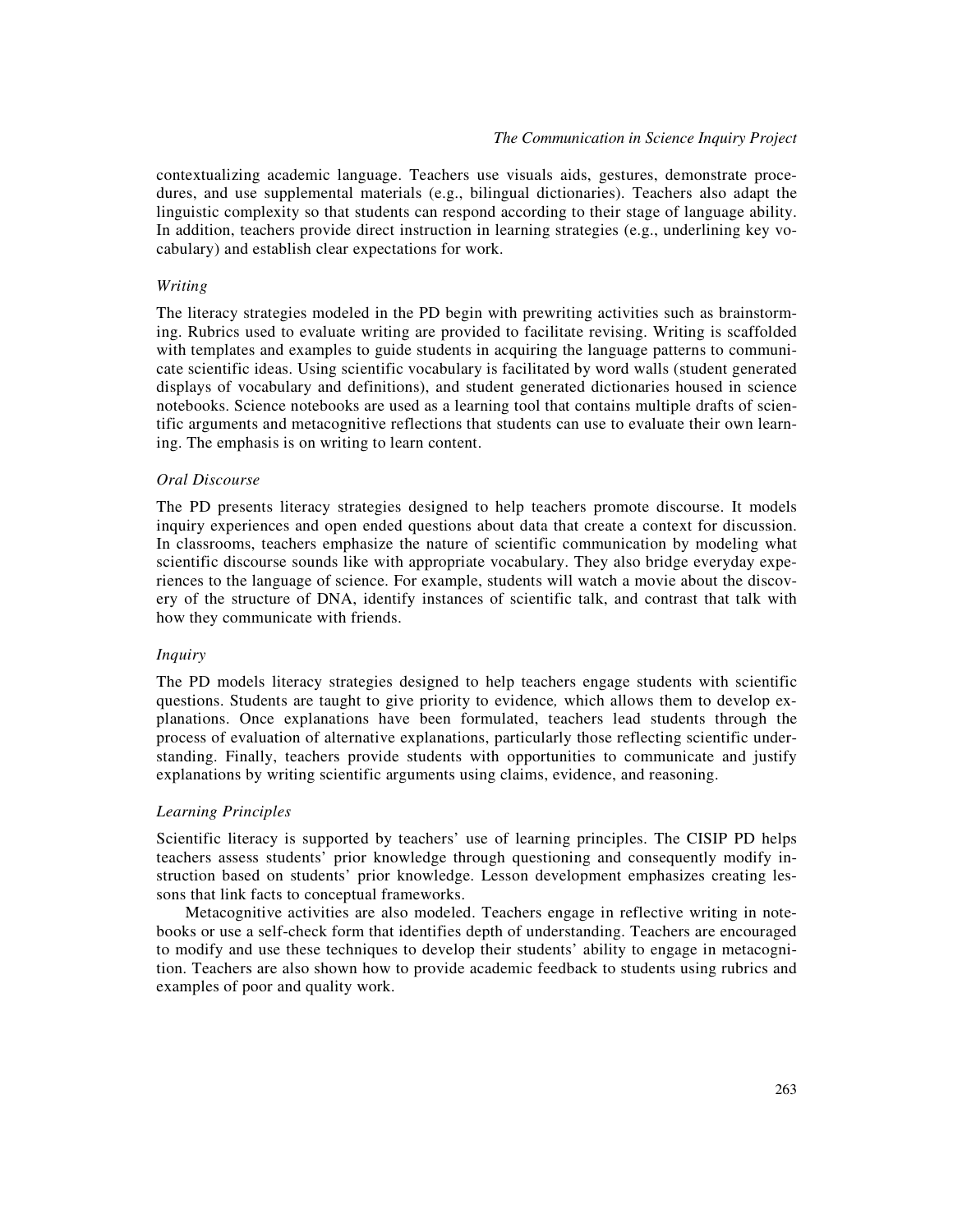contextualizing academic language. Teachers use visuals aids, gestures, demonstrate procedures, and use supplemental materials (e.g., bilingual dictionaries). Teachers also adapt the linguistic complexity so that students can respond according to their stage of language ability. In addition, teachers provide direct instruction in learning strategies (e.g., underlining key vocabulary) and establish clear expectations for work.

## *Writing*

The literacy strategies modeled in the PD begin with prewriting activities such as brainstorming. Rubrics used to evaluate writing are provided to facilitate revising. Writing is scaffolded with templates and examples to guide students in acquiring the language patterns to communicate scientific ideas. Using scientific vocabulary is facilitated by word walls (student generated displays of vocabulary and definitions), and student generated dictionaries housed in science notebooks. Science notebooks are used as a learning tool that contains multiple drafts of scientific arguments and metacognitive reflections that students can use to evaluate their own learning. The emphasis is on writing to learn content.

## *Oral Discourse*

The PD presents literacy strategies designed to help teachers promote discourse. It models inquiry experiences and open ended questions about data that create a context for discussion. In classrooms, teachers emphasize the nature of scientific communication by modeling what scientific discourse sounds like with appropriate vocabulary. They also bridge everyday experiences to the language of science. For example, students will watch a movie about the discovery of the structure of DNA, identify instances of scientific talk, and contrast that talk with how they communicate with friends.

#### *Inquiry*

The PD models literacy strategies designed to help teachers engage students with scientific questions. Students are taught to give priority to evidence*,* which allows them to develop explanations. Once explanations have been formulated, teachers lead students through the process of evaluation of alternative explanations, particularly those reflecting scientific understanding. Finally, teachers provide students with opportunities to communicate and justify explanations by writing scientific arguments using claims, evidence, and reasoning.

## *Learning Principles*

Scientific literacy is supported by teachers' use of learning principles. The CISIP PD helps teachers assess students' prior knowledge through questioning and consequently modify instruction based on students' prior knowledge. Lesson development emphasizes creating lessons that link facts to conceptual frameworks.

Metacognitive activities are also modeled. Teachers engage in reflective writing in notebooks or use a self-check form that identifies depth of understanding. Teachers are encouraged to modify and use these techniques to develop their students' ability to engage in metacognition. Teachers are also shown how to provide academic feedback to students using rubrics and examples of poor and quality work.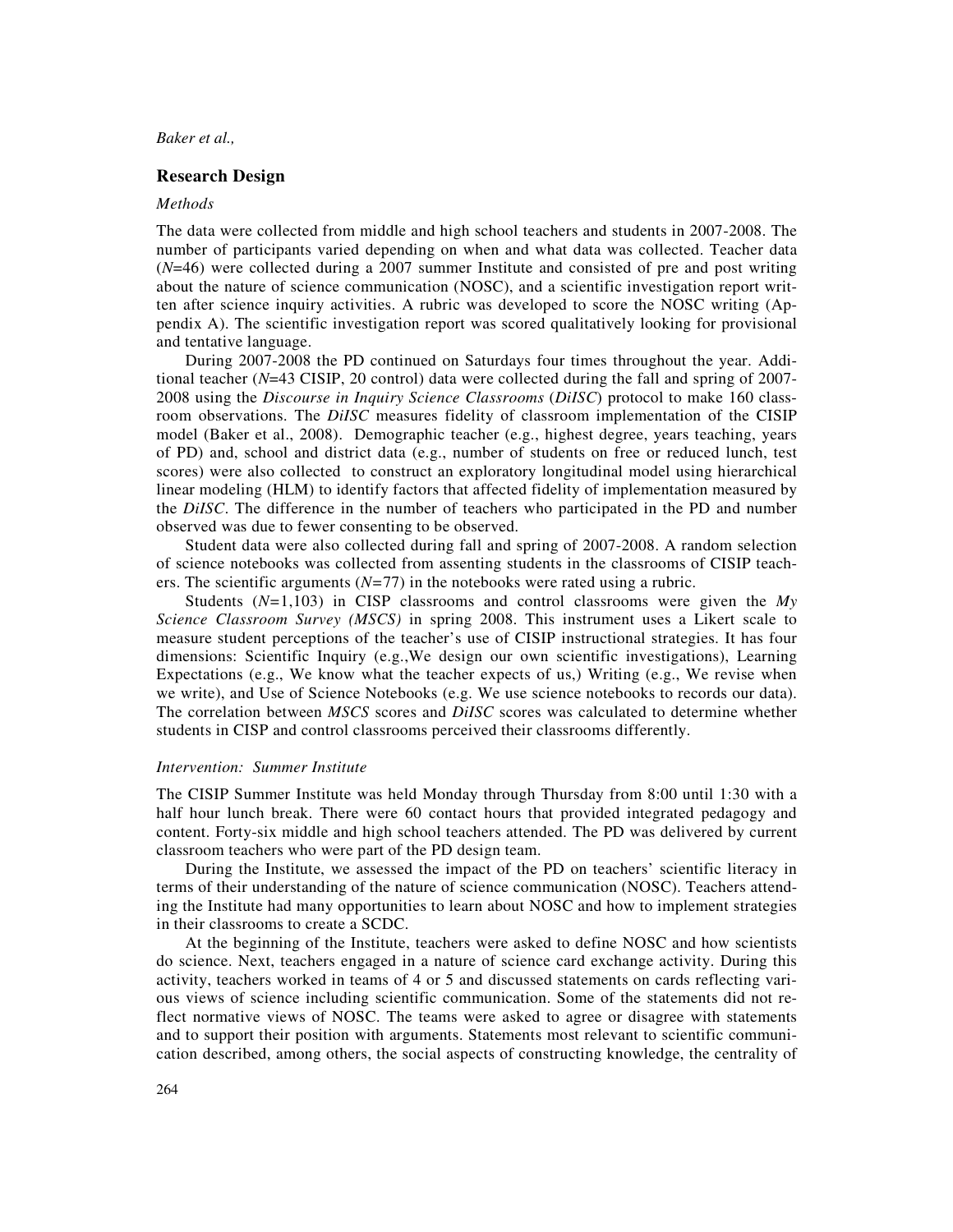## **Research Design**

## *Methods*

The data were collected from middle and high school teachers and students in 2007-2008. The number of participants varied depending on when and what data was collected. Teacher data (*N*=46) were collected during a 2007 summer Institute and consisted of pre and post writing about the nature of science communication (NOSC), and a scientific investigation report written after science inquiry activities. A rubric was developed to score the NOSC writing (Appendix A). The scientific investigation report was scored qualitatively looking for provisional and tentative language.

During 2007-2008 the PD continued on Saturdays four times throughout the year. Additional teacher (*N*=43 CISIP, 20 control) data were collected during the fall and spring of 2007- 2008 using the *Discourse in Inquiry Science Classrooms* (*DiISC*) protocol to make 160 classroom observations. The *DiISC* measures fidelity of classroom implementation of the CISIP model (Baker et al., 2008). Demographic teacher (e.g., highest degree, years teaching, years of PD) and, school and district data (e.g., number of students on free or reduced lunch, test scores) were also collected to construct an exploratory longitudinal model using hierarchical linear modeling (HLM) to identify factors that affected fidelity of implementation measured by the *DiISC*. The difference in the number of teachers who participated in the PD and number observed was due to fewer consenting to be observed.

Student data were also collected during fall and spring of 2007-2008. A random selection of science notebooks was collected from assenting students in the classrooms of CISIP teachers. The scientific arguments (*N=*77) in the notebooks were rated using a rubric.

Students (*N=*1,103) in CISP classrooms and control classrooms were given the *My Science Classroom Survey (MSCS)* in spring 2008. This instrument uses a Likert scale to measure student perceptions of the teacher's use of CISIP instructional strategies. It has four dimensions: Scientific Inquiry (e.g.,We design our own scientific investigations), Learning Expectations (e.g., We know what the teacher expects of us,) Writing (e.g., We revise when we write), and Use of Science Notebooks (e.g. We use science notebooks to records our data). The correlation between *MSCS* scores and *DiISC* scores was calculated to determine whether students in CISP and control classrooms perceived their classrooms differently.

#### *Intervention: Summer Institute*

The CISIP Summer Institute was held Monday through Thursday from 8:00 until 1:30 with a half hour lunch break. There were 60 contact hours that provided integrated pedagogy and content. Forty-six middle and high school teachers attended. The PD was delivered by current classroom teachers who were part of the PD design team.

During the Institute, we assessed the impact of the PD on teachers' scientific literacy in terms of their understanding of the nature of science communication (NOSC). Teachers attending the Institute had many opportunities to learn about NOSC and how to implement strategies in their classrooms to create a SCDC.

At the beginning of the Institute, teachers were asked to define NOSC and how scientists do science. Next, teachers engaged in a nature of science card exchange activity. During this activity, teachers worked in teams of 4 or 5 and discussed statements on cards reflecting various views of science including scientific communication. Some of the statements did not reflect normative views of NOSC. The teams were asked to agree or disagree with statements and to support their position with arguments. Statements most relevant to scientific communication described, among others, the social aspects of constructing knowledge, the centrality of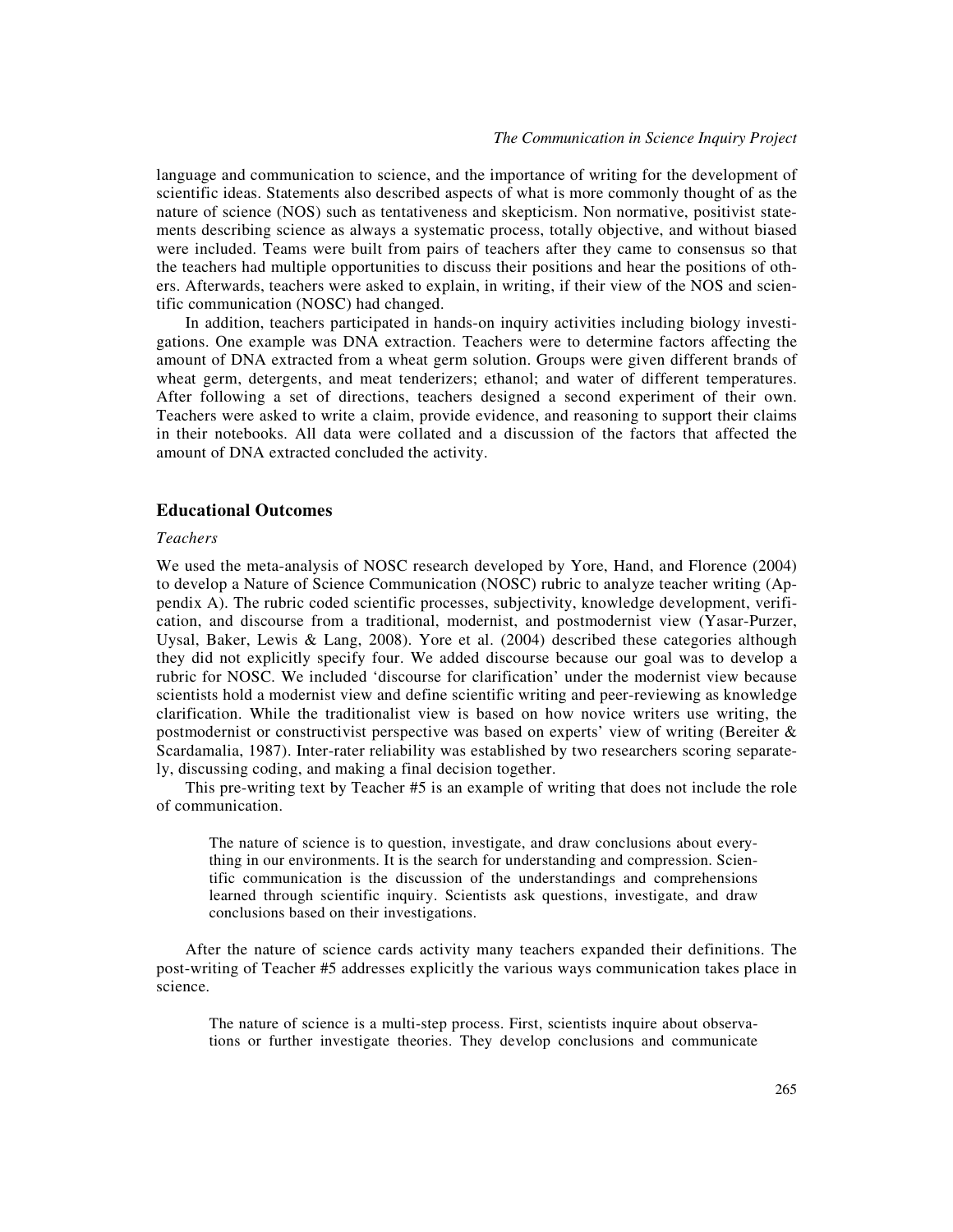language and communication to science, and the importance of writing for the development of scientific ideas. Statements also described aspects of what is more commonly thought of as the nature of science (NOS) such as tentativeness and skepticism. Non normative, positivist statements describing science as always a systematic process, totally objective, and without biased were included. Teams were built from pairs of teachers after they came to consensus so that the teachers had multiple opportunities to discuss their positions and hear the positions of others. Afterwards, teachers were asked to explain, in writing, if their view of the NOS and scientific communication (NOSC) had changed.

In addition, teachers participated in hands-on inquiry activities including biology investigations. One example was DNA extraction. Teachers were to determine factors affecting the amount of DNA extracted from a wheat germ solution. Groups were given different brands of wheat germ, detergents, and meat tenderizers; ethanol; and water of different temperatures. After following a set of directions, teachers designed a second experiment of their own. Teachers were asked to write a claim, provide evidence, and reasoning to support their claims in their notebooks. All data were collated and a discussion of the factors that affected the amount of DNA extracted concluded the activity.

## **Educational Outcomes**

# *Teachers*

We used the meta-analysis of NOSC research developed by Yore, Hand, and Florence (2004) to develop a Nature of Science Communication (NOSC) rubric to analyze teacher writing (Appendix A). The rubric coded scientific processes, subjectivity, knowledge development, verification, and discourse from a traditional, modernist, and postmodernist view (Yasar-Purzer, Uysal, Baker, Lewis & Lang, 2008). Yore et al. (2004) described these categories although they did not explicitly specify four. We added discourse because our goal was to develop a rubric for NOSC. We included 'discourse for clarification' under the modernist view because scientists hold a modernist view and define scientific writing and peer-reviewing as knowledge clarification. While the traditionalist view is based on how novice writers use writing, the postmodernist or constructivist perspective was based on experts' view of writing (Bereiter & Scardamalia, 1987). Inter-rater reliability was established by two researchers scoring separately, discussing coding, and making a final decision together.

This pre-writing text by Teacher #5 is an example of writing that does not include the role of communication.

The nature of science is to question, investigate, and draw conclusions about everything in our environments. It is the search for understanding and compression. Scientific communication is the discussion of the understandings and comprehensions learned through scientific inquiry. Scientists ask questions, investigate, and draw conclusions based on their investigations.

After the nature of science cards activity many teachers expanded their definitions. The post-writing of Teacher #5 addresses explicitly the various ways communication takes place in science.

The nature of science is a multi-step process. First, scientists inquire about observations or further investigate theories. They develop conclusions and communicate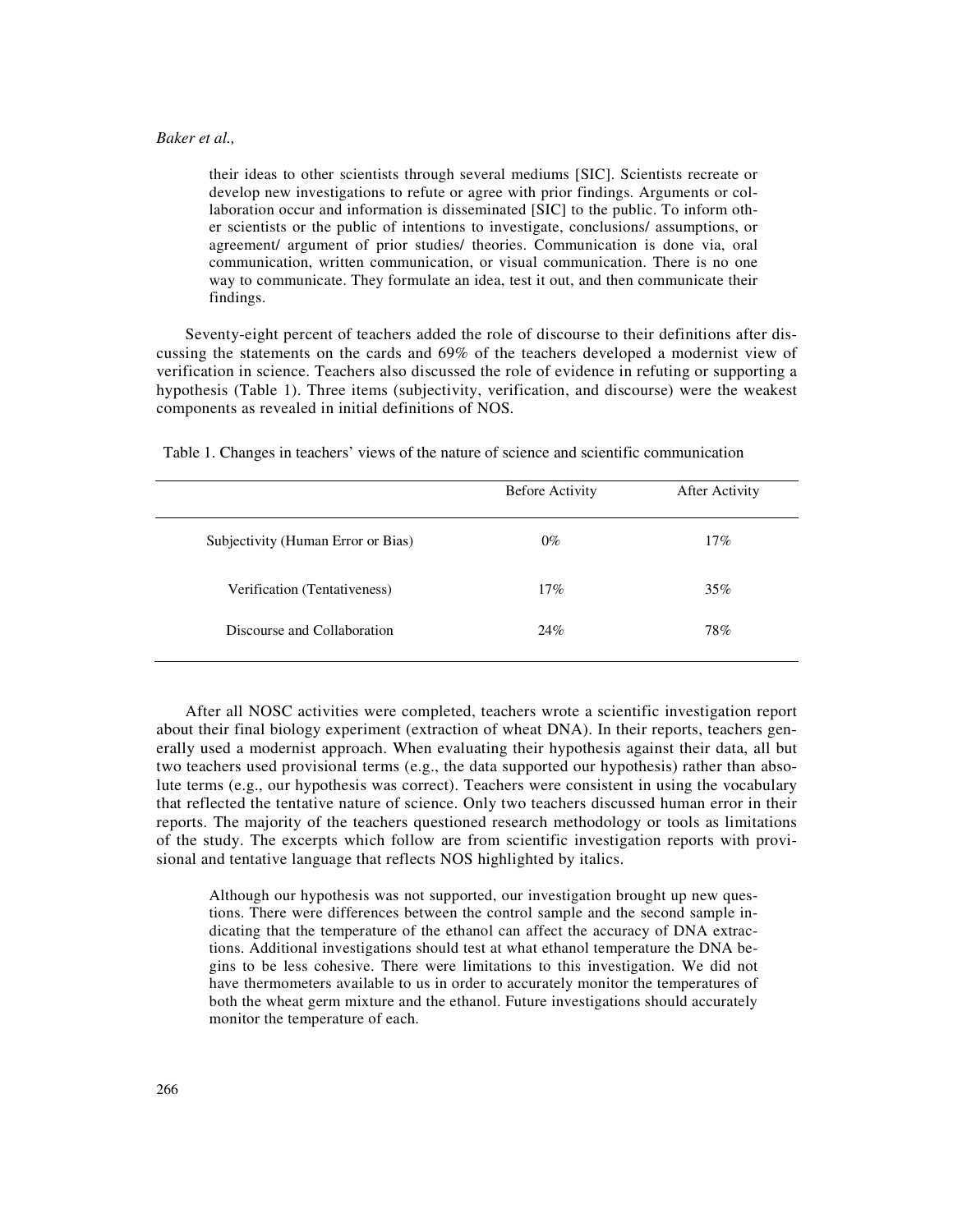their ideas to other scientists through several mediums [SIC]. Scientists recreate or develop new investigations to refute or agree with prior findings. Arguments or collaboration occur and information is disseminated [SIC] to the public. To inform other scientists or the public of intentions to investigate, conclusions/ assumptions, or agreement/ argument of prior studies/ theories. Communication is done via, oral communication, written communication, or visual communication. There is no one way to communicate. They formulate an idea, test it out, and then communicate their findings.

Seventy-eight percent of teachers added the role of discourse to their definitions after discussing the statements on the cards and 69% of the teachers developed a modernist view of verification in science. Teachers also discussed the role of evidence in refuting or supporting a hypothesis (Table 1). Three items (subjectivity, verification, and discourse) were the weakest components as revealed in initial definitions of NOS.

|                                    | <b>Before Activity</b> | After Activity |
|------------------------------------|------------------------|----------------|
| Subjectivity (Human Error or Bias) | $0\%$                  | 17%            |
| Verification (Tentativeness)       | $17\%$                 | 35%            |
| Discourse and Collaboration        | 24%                    | 78%            |

Table 1. Changes in teachers' views of the nature of science and scientific communication

After all NOSC activities were completed, teachers wrote a scientific investigation report about their final biology experiment (extraction of wheat DNA). In their reports, teachers generally used a modernist approach. When evaluating their hypothesis against their data, all but two teachers used provisional terms (e.g., the data supported our hypothesis) rather than absolute terms (e.g., our hypothesis was correct). Teachers were consistent in using the vocabulary that reflected the tentative nature of science. Only two teachers discussed human error in their reports. The majority of the teachers questioned research methodology or tools as limitations of the study. The excerpts which follow are from scientific investigation reports with provisional and tentative language that reflects NOS highlighted by italics.

Although our hypothesis was not supported, our investigation brought up new questions. There were differences between the control sample and the second sample indicating that the temperature of the ethanol can affect the accuracy of DNA extractions. Additional investigations should test at what ethanol temperature the DNA begins to be less cohesive. There were limitations to this investigation. We did not have thermometers available to us in order to accurately monitor the temperatures of both the wheat germ mixture and the ethanol. Future investigations should accurately monitor the temperature of each.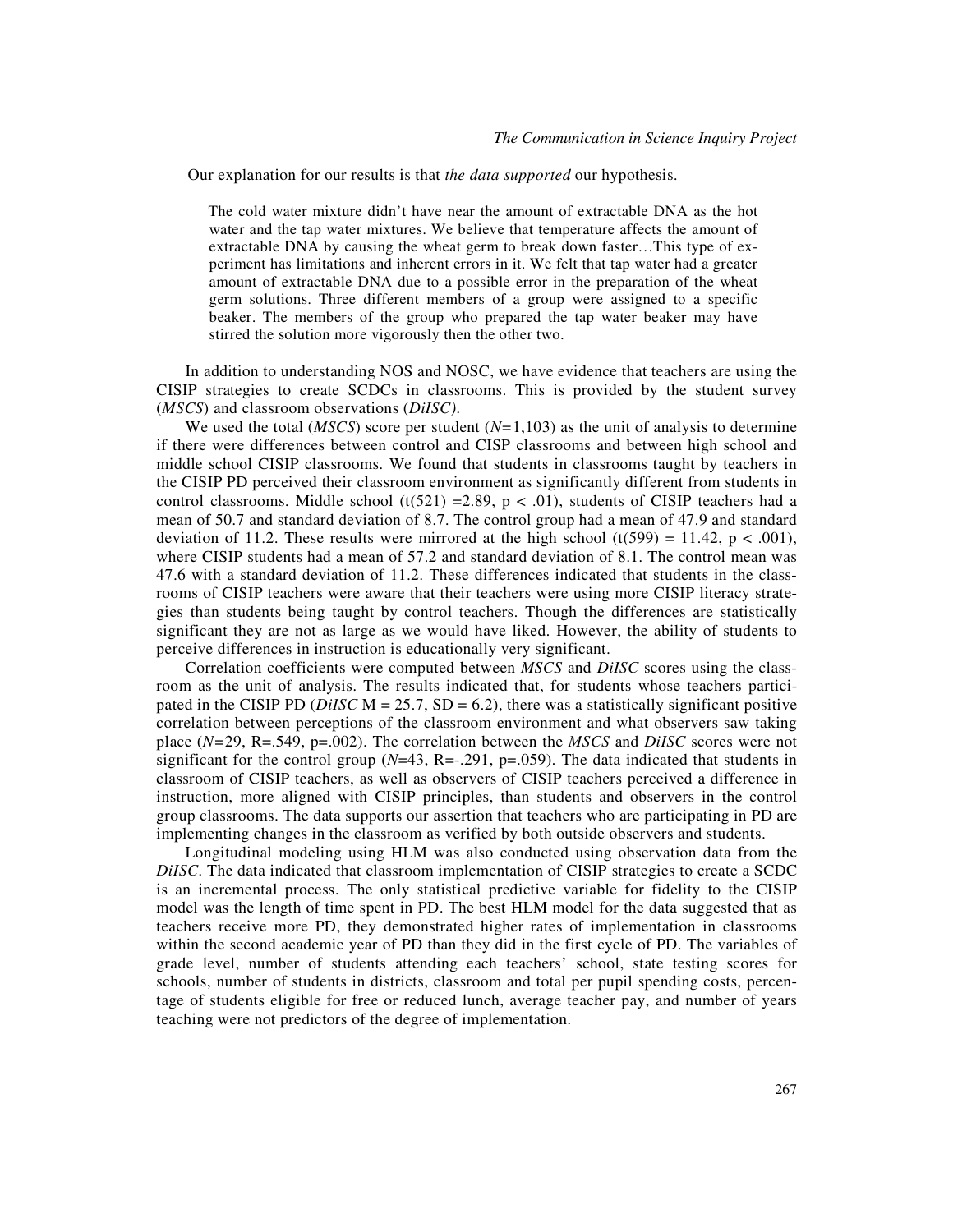Our explanation for our results is that *the data supported* our hypothesis.

The cold water mixture didn't have near the amount of extractable DNA as the hot water and the tap water mixtures. We believe that temperature affects the amount of extractable DNA by causing the wheat germ to break down faster…This type of experiment has limitations and inherent errors in it. We felt that tap water had a greater amount of extractable DNA due to a possible error in the preparation of the wheat germ solutions. Three different members of a group were assigned to a specific beaker. The members of the group who prepared the tap water beaker may have stirred the solution more vigorously then the other two.

In addition to understanding NOS and NOSC, we have evidence that teachers are using the CISIP strategies to create SCDCs in classrooms. This is provided by the student survey (*MSCS*) and classroom observations (*DiISC)*.

We used the total (*MSCS*) score per student ( $N=1,103$ ) as the unit of analysis to determine if there were differences between control and CISP classrooms and between high school and middle school CISIP classrooms. We found that students in classrooms taught by teachers in the CISIP PD perceived their classroom environment as significantly different from students in control classrooms. Middle school (t(521) =2.89, p < .01), students of CISIP teachers had a mean of 50.7 and standard deviation of 8.7. The control group had a mean of 47.9 and standard deviation of 11.2. These results were mirrored at the high school (t(599) = 11.42, p < .001), where CISIP students had a mean of 57.2 and standard deviation of 8.1. The control mean was 47.6 with a standard deviation of 11.2. These differences indicated that students in the classrooms of CISIP teachers were aware that their teachers were using more CISIP literacy strategies than students being taught by control teachers. Though the differences are statistically significant they are not as large as we would have liked. However, the ability of students to perceive differences in instruction is educationally very significant.

Correlation coefficients were computed between *MSCS* and *DiISC* scores using the classroom as the unit of analysis. The results indicated that, for students whose teachers participated in the CISIP PD ( $DiISC \text{ M} = 25.7$ , SD = 6.2), there was a statistically significant positive correlation between perceptions of the classroom environment and what observers saw taking place (*N=*29, R=.549, p=.002). The correlation between the *MSCS* and *DiISC* scores were not significant for the control group (*N*=43, R=-.291, p=.059). The data indicated that students in classroom of CISIP teachers, as well as observers of CISIP teachers perceived a difference in instruction, more aligned with CISIP principles, than students and observers in the control group classrooms. The data supports our assertion that teachers who are participating in PD are implementing changes in the classroom as verified by both outside observers and students.

Longitudinal modeling using HLM was also conducted using observation data from the *DiISC*. The data indicated that classroom implementation of CISIP strategies to create a SCDC is an incremental process. The only statistical predictive variable for fidelity to the CISIP model was the length of time spent in PD. The best HLM model for the data suggested that as teachers receive more PD, they demonstrated higher rates of implementation in classrooms within the second academic year of PD than they did in the first cycle of PD. The variables of grade level, number of students attending each teachers' school, state testing scores for schools, number of students in districts, classroom and total per pupil spending costs, percentage of students eligible for free or reduced lunch, average teacher pay, and number of years teaching were not predictors of the degree of implementation.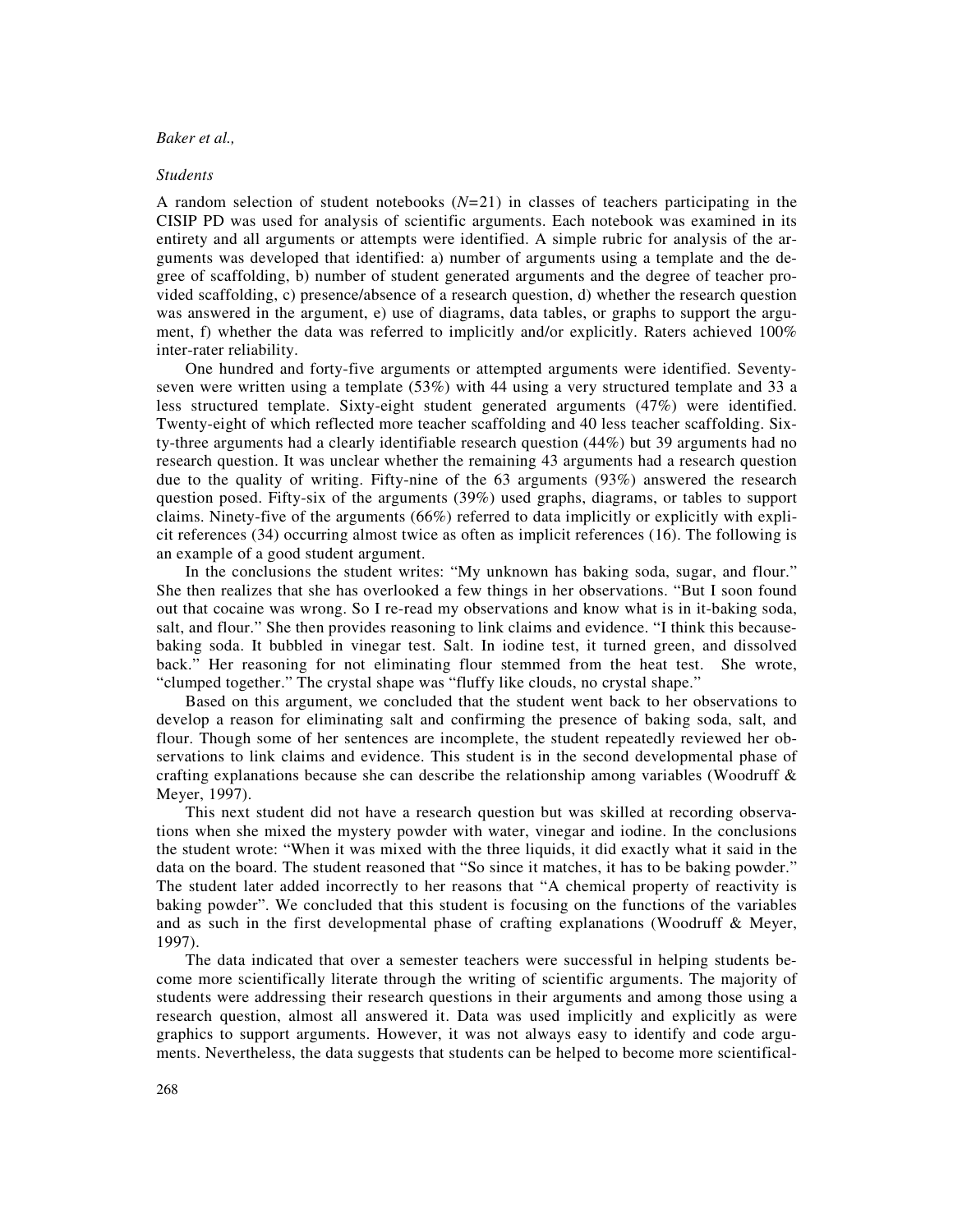#### *Students*

A random selection of student notebooks (*N=*21) in classes of teachers participating in the CISIP PD was used for analysis of scientific arguments. Each notebook was examined in its entirety and all arguments or attempts were identified. A simple rubric for analysis of the arguments was developed that identified: a) number of arguments using a template and the degree of scaffolding, b) number of student generated arguments and the degree of teacher provided scaffolding, c) presence/absence of a research question, d) whether the research question was answered in the argument, e) use of diagrams, data tables, or graphs to support the argument, f) whether the data was referred to implicitly and/or explicitly. Raters achieved 100% inter-rater reliability.

One hundred and forty-five arguments or attempted arguments were identified. Seventyseven were written using a template (53%) with 44 using a very structured template and 33 a less structured template. Sixty-eight student generated arguments (47%) were identified. Twenty-eight of which reflected more teacher scaffolding and 40 less teacher scaffolding. Sixty-three arguments had a clearly identifiable research question (44%) but 39 arguments had no research question. It was unclear whether the remaining 43 arguments had a research question due to the quality of writing. Fifty-nine of the 63 arguments (93%) answered the research question posed. Fifty-six of the arguments (39%) used graphs, diagrams, or tables to support claims. Ninety-five of the arguments (66%) referred to data implicitly or explicitly with explicit references (34) occurring almost twice as often as implicit references (16). The following is an example of a good student argument.

In the conclusions the student writes: "My unknown has baking soda, sugar, and flour." She then realizes that she has overlooked a few things in her observations. "But I soon found out that cocaine was wrong. So I re-read my observations and know what is in it-baking soda, salt, and flour." She then provides reasoning to link claims and evidence. "I think this becausebaking soda. It bubbled in vinegar test. Salt. In iodine test, it turned green, and dissolved back." Her reasoning for not eliminating flour stemmed from the heat test. She wrote, "clumped together." The crystal shape was "fluffy like clouds, no crystal shape."

Based on this argument, we concluded that the student went back to her observations to develop a reason for eliminating salt and confirming the presence of baking soda, salt, and flour. Though some of her sentences are incomplete, the student repeatedly reviewed her observations to link claims and evidence. This student is in the second developmental phase of crafting explanations because she can describe the relationship among variables (Woodruff  $\&$ Meyer, 1997).

This next student did not have a research question but was skilled at recording observations when she mixed the mystery powder with water, vinegar and iodine. In the conclusions the student wrote: "When it was mixed with the three liquids, it did exactly what it said in the data on the board. The student reasoned that "So since it matches, it has to be baking powder." The student later added incorrectly to her reasons that "A chemical property of reactivity is baking powder". We concluded that this student is focusing on the functions of the variables and as such in the first developmental phase of crafting explanations (Woodruff & Meyer, 1997).

The data indicated that over a semester teachers were successful in helping students become more scientifically literate through the writing of scientific arguments. The majority of students were addressing their research questions in their arguments and among those using a research question, almost all answered it. Data was used implicitly and explicitly as were graphics to support arguments. However, it was not always easy to identify and code arguments. Nevertheless, the data suggests that students can be helped to become more scientifical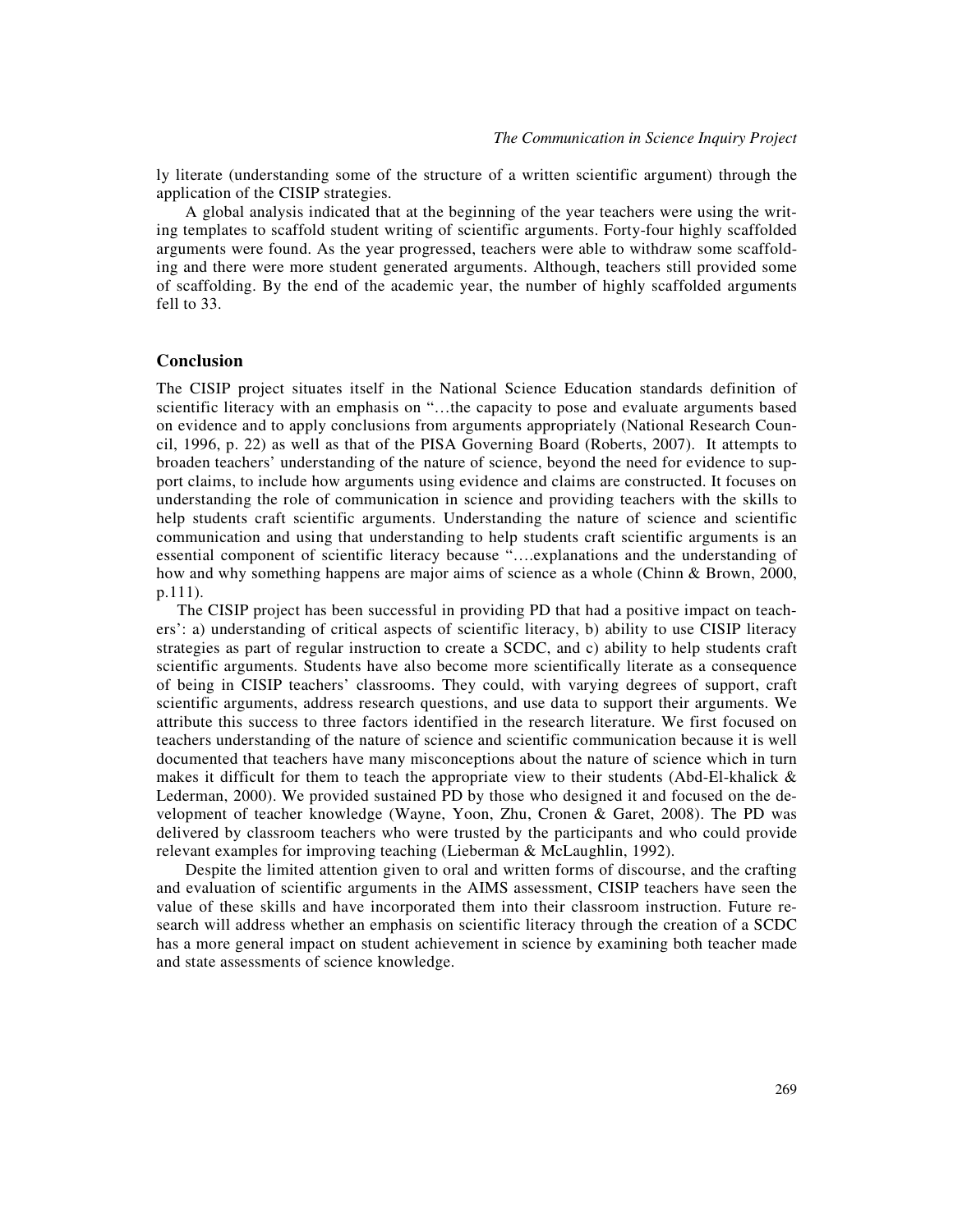ly literate (understanding some of the structure of a written scientific argument) through the application of the CISIP strategies.

A global analysis indicated that at the beginning of the year teachers were using the writing templates to scaffold student writing of scientific arguments. Forty-four highly scaffolded arguments were found. As the year progressed, teachers were able to withdraw some scaffolding and there were more student generated arguments. Although, teachers still provided some of scaffolding. By the end of the academic year, the number of highly scaffolded arguments fell to 33.

## **Conclusion**

The CISIP project situates itself in the National Science Education standards definition of scientific literacy with an emphasis on "…the capacity to pose and evaluate arguments based on evidence and to apply conclusions from arguments appropriately (National Research Council, 1996, p. 22) as well as that of the PISA Governing Board (Roberts, 2007). It attempts to broaden teachers' understanding of the nature of science, beyond the need for evidence to support claims, to include how arguments using evidence and claims are constructed. It focuses on understanding the role of communication in science and providing teachers with the skills to help students craft scientific arguments. Understanding the nature of science and scientific communication and using that understanding to help students craft scientific arguments is an essential component of scientific literacy because "….explanations and the understanding of how and why something happens are major aims of science as a whole (Chinn & Brown, 2000, p.111).

The CISIP project has been successful in providing PD that had a positive impact on teachers': a) understanding of critical aspects of scientific literacy, b) ability to use CISIP literacy strategies as part of regular instruction to create a SCDC, and c) ability to help students craft scientific arguments. Students have also become more scientifically literate as a consequence of being in CISIP teachers' classrooms. They could, with varying degrees of support, craft scientific arguments, address research questions, and use data to support their arguments. We attribute this success to three factors identified in the research literature. We first focused on teachers understanding of the nature of science and scientific communication because it is well documented that teachers have many misconceptions about the nature of science which in turn makes it difficult for them to teach the appropriate view to their students (Abd-El-khalick  $\&$ Lederman, 2000). We provided sustained PD by those who designed it and focused on the development of teacher knowledge (Wayne, Yoon, Zhu, Cronen & Garet, 2008). The PD was delivered by classroom teachers who were trusted by the participants and who could provide relevant examples for improving teaching (Lieberman & McLaughlin, 1992).

Despite the limited attention given to oral and written forms of discourse, and the crafting and evaluation of scientific arguments in the AIMS assessment, CISIP teachers have seen the value of these skills and have incorporated them into their classroom instruction. Future research will address whether an emphasis on scientific literacy through the creation of a SCDC has a more general impact on student achievement in science by examining both teacher made and state assessments of science knowledge.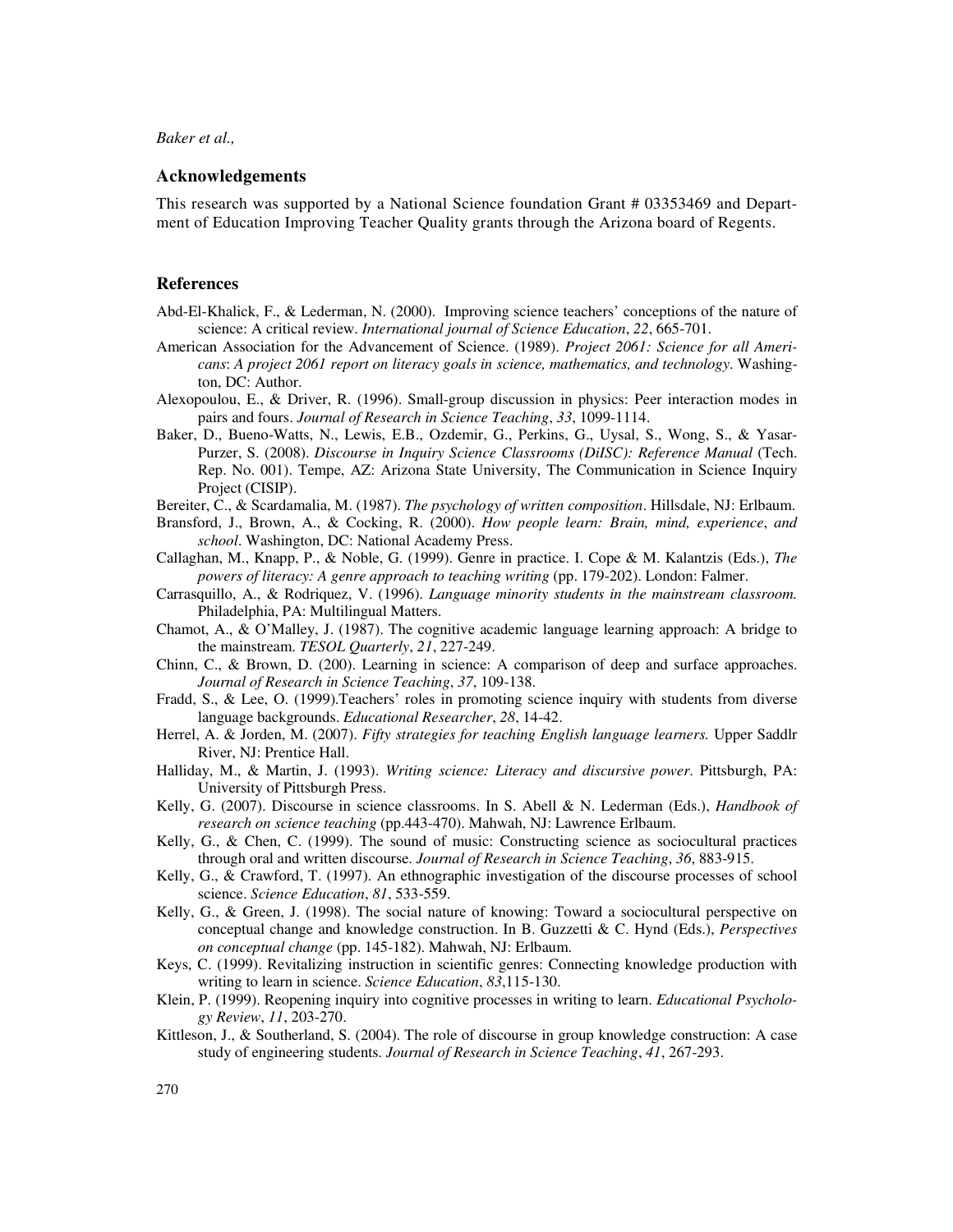#### **Acknowledgements**

This research was supported by a National Science foundation Grant # 03353469 and Department of Education Improving Teacher Quality grants through the Arizona board of Regents.

## **References**

- Abd-El-Khalick, F., & Lederman, N. (2000). Improving science teachers' conceptions of the nature of science: A critical review. *International journal of Science Education*, *22*, 665-701.
- American Association for the Advancement of Science. (1989). *Project 2061: Science for all Americans*: *A project 2061 report on literacy goals in science, mathematics, and technology*. Washington, DC: Author.
- Alexopoulou, E., & Driver, R. (1996). Small-group discussion in physics: Peer interaction modes in pairs and fours. *Journal of Research in Science Teaching*, *33*, 1099-1114.
- Baker, D., Bueno-Watts, N., Lewis, E.B., Ozdemir, G., Perkins, G., Uysal, S., Wong, S., & Yasar-Purzer, S. (2008). *Discourse in Inquiry Science Classrooms (DiISC): Reference Manual* (Tech. Rep. No. 001). Tempe, AZ: Arizona State University, The Communication in Science Inquiry Project (CISIP).
- Bereiter, C., & Scardamalia, M. (1987). *The psychology of written composition*. Hillsdale, NJ: Erlbaum.
- Bransford, J., Brown, A., & Cocking, R. (2000). *How people learn: Brain, mind, experience*, *and school*. Washington, DC: National Academy Press.
- Callaghan, M., Knapp, P., & Noble, G. (1999). Genre in practice. I. Cope & M. Kalantzis (Eds.), *The powers of literacy: A genre approach to teaching writing* (pp. 179-202). London: Falmer.
- Carrasquillo, A., & Rodriquez, V. (1996). *Language minority students in the mainstream classroom.* Philadelphia, PA: Multilingual Matters.
- Chamot, A., & O'Malley, J. (1987). The cognitive academic language learning approach: A bridge to the mainstream. *TESOL Quarterly*, *21*, 227-249.
- Chinn, C., & Brown, D. (200). Learning in science: A comparison of deep and surface approaches. *Journal of Research in Science Teaching*, *37*, 109-138.
- Fradd, S., & Lee, O. (1999).Teachers' roles in promoting science inquiry with students from diverse language backgrounds. *Educational Researcher*, *28*, 14-42.
- Herrel, A. & Jorden, M. (2007). *Fifty strategies for teaching English language learners.* Upper Saddlr River, NJ: Prentice Hall.
- Halliday, M., & Martin, J. (1993). *Writing science: Literacy and discursive power*. Pittsburgh, PA: University of Pittsburgh Press.
- Kelly, G. (2007). Discourse in science classrooms. In S. Abell & N. Lederman (Eds.), *Handbook of research on science teaching* (pp.443-470). Mahwah, NJ: Lawrence Erlbaum.
- Kelly, G., & Chen, C. (1999). The sound of music: Constructing science as sociocultural practices through oral and written discourse. *Journal of Research in Science Teaching*, *36*, 883-915.
- Kelly, G., & Crawford, T. (1997). An ethnographic investigation of the discourse processes of school science. *Science Education*, *81*, 533-559.
- Kelly, G., & Green, J. (1998). The social nature of knowing: Toward a sociocultural perspective on conceptual change and knowledge construction. In B. Guzzetti & C. Hynd (Eds.), *Perspectives on conceptual change* (pp. 145-182). Mahwah, NJ: Erlbaum.
- Keys, C. (1999). Revitalizing instruction in scientific genres: Connecting knowledge production with writing to learn in science. *Science Education*, *83*,115-130.
- Klein, P. (1999). Reopening inquiry into cognitive processes in writing to learn. *Educational Psychology Review*, *11*, 203-270.
- Kittleson, J., & Southerland, S. (2004). The role of discourse in group knowledge construction: A case study of engineering students. *Journal of Research in Science Teaching*, *41*, 267-293.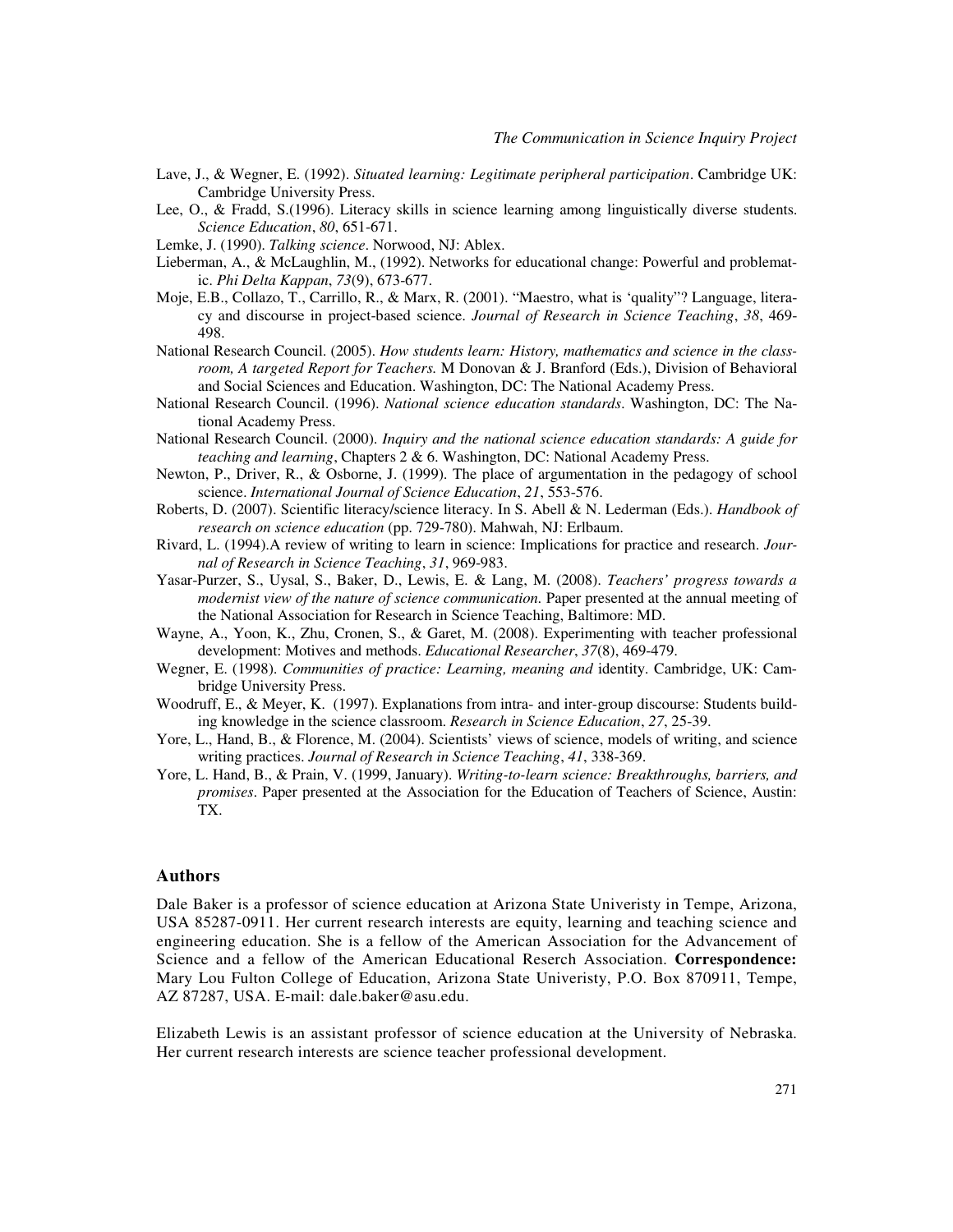- Lave, J., & Wegner, E. (1992). *Situated learning: Legitimate peripheral participation*. Cambridge UK: Cambridge University Press.
- Lee, O., & Fradd, S.(1996). Literacy skills in science learning among linguistically diverse students. *Science Education*, *80*, 651-671.
- Lemke, J. (1990). *Talking science*. Norwood, NJ: Ablex.
- Lieberman, A., & McLaughlin, M., (1992). Networks for educational change: Powerful and problematic. *Phi Delta Kappan*, *73*(9), 673-677.
- Moje, E.B., Collazo, T., Carrillo, R., & Marx, R. (2001). "Maestro, what is 'quality"? Language, literacy and discourse in project-based science. *Journal of Research in Science Teaching*, *38*, 469- 498.
- National Research Council. (2005). *How students learn: History, mathematics and science in the classroom, A targeted Report for Teachers.* M Donovan & J. Branford (Eds.), Division of Behavioral and Social Sciences and Education. Washington, DC: The National Academy Press.
- National Research Council. (1996). *National science education standards*. Washington, DC: The National Academy Press.
- National Research Council. (2000). *Inquiry and the national science education standards: A guide for teaching and learning*, Chapters 2 & 6. Washington, DC: National Academy Press.
- Newton, P., Driver, R., & Osborne, J. (1999). The place of argumentation in the pedagogy of school science. *International Journal of Science Education*, *21*, 553-576.
- Roberts, D. (2007). Scientific literacy/science literacy. In S. Abell & N. Lederman (Eds.). *Handbook of research on science education* (pp. 729-780). Mahwah, NJ: Erlbaum.
- Rivard, L. (1994).A review of writing to learn in science: Implications for practice and research. *Journal of Research in Science Teaching*, *31*, 969-983.
- Yasar-Purzer, S., Uysal, S., Baker, D., Lewis, E. & Lang, M. (2008). *Teachers' progress towards a modernist view of the nature of science communication.* Paper presented at the annual meeting of the National Association for Research in Science Teaching, Baltimore: MD.
- Wayne, A., Yoon, K., Zhu, Cronen, S., & Garet, M. (2008). Experimenting with teacher professional development: Motives and methods. *Educational Researcher*, *37*(8), 469-479.
- Wegner, E. (1998). *Communities of practice: Learning, meaning and* identity. Cambridge, UK: Cambridge University Press.
- Woodruff, E., & Meyer, K. (1997). Explanations from intra- and inter-group discourse: Students building knowledge in the science classroom. *Research in Science Education*, *27*, 25-39.
- Yore, L., Hand, B., & Florence, M. (2004). Scientists' views of science, models of writing, and science writing practices. *Journal of Research in Science Teaching*, *41*, 338-369.
- Yore, L. Hand, B., & Prain, V. (1999, January). *Writing-to-learn science: Breakthroughs, barriers, and promises*. Paper presented at the Association for the Education of Teachers of Science, Austin: TX.

# **Authors**

Dale Baker is a professor of science education at Arizona State Univeristy in Tempe, Arizona, USA 85287-0911. Her current research interests are equity, learning and teaching science and engineering education. She is a fellow of the American Association for the Advancement of Science and a fellow of the American Educational Reserch Association. **Correspondence:**  Mary Lou Fulton College of Education, Arizona State Univeristy, P.O. Box 870911, Tempe, AZ 87287, USA. E-mail: dale.baker@asu.edu.

Elizabeth Lewis is an assistant professor of science education at the University of Nebraska. Her current research interests are science teacher professional development.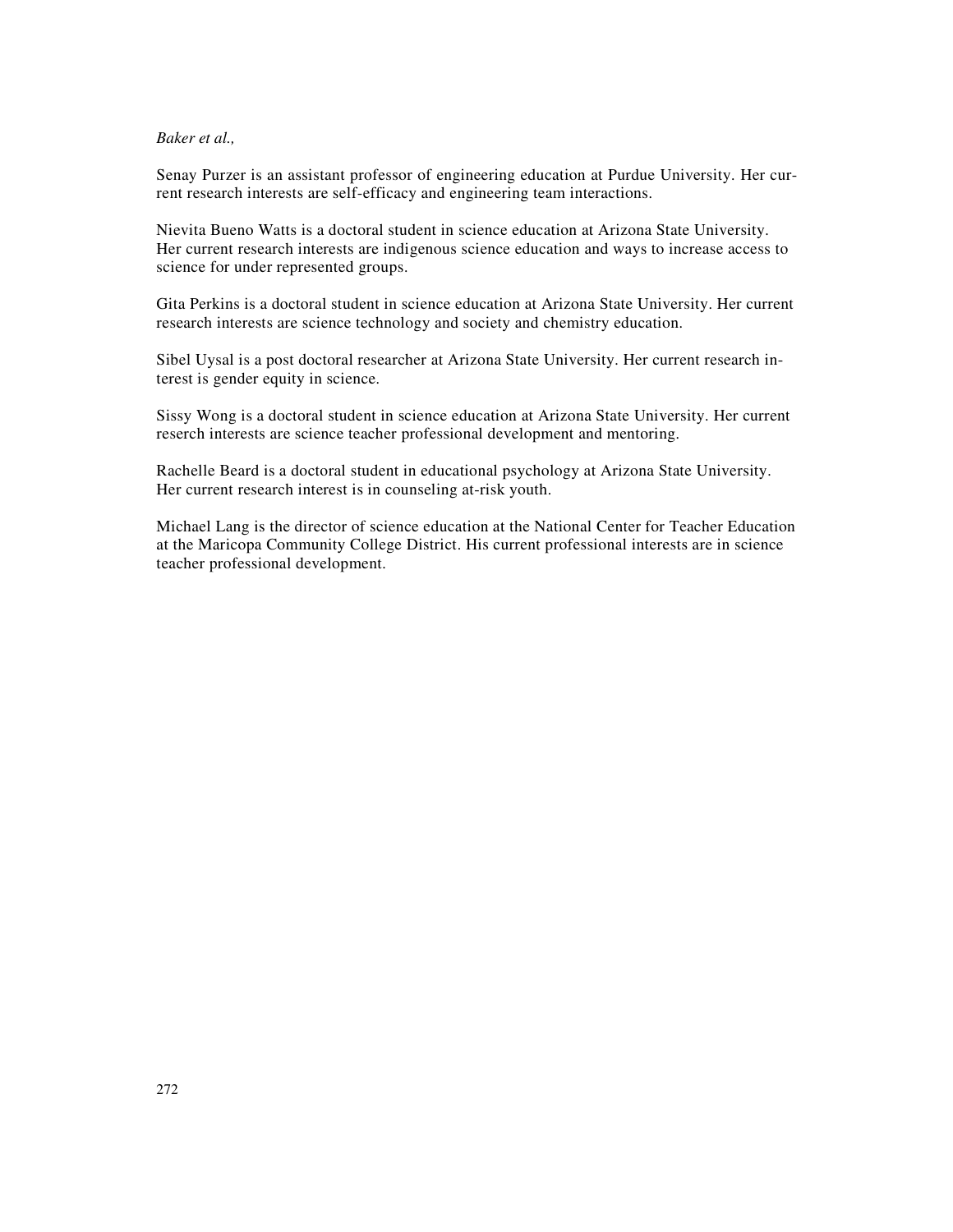Senay Purzer is an assistant professor of engineering education at Purdue University. Her current research interests are self-efficacy and engineering team interactions.

Nievita Bueno Watts is a doctoral student in science education at Arizona State University. Her current research interests are indigenous science education and ways to increase access to science for under represented groups.

Gita Perkins is a doctoral student in science education at Arizona State University. Her current research interests are science technology and society and chemistry education.

Sibel Uysal is a post doctoral researcher at Arizona State University. Her current research interest is gender equity in science.

Sissy Wong is a doctoral student in science education at Arizona State University. Her current reserch interests are science teacher professional development and mentoring.

Rachelle Beard is a doctoral student in educational psychology at Arizona State University. Her current research interest is in counseling at-risk youth.

Michael Lang is the director of science education at the National Center for Teacher Education at the Maricopa Community College District. His current professional interests are in science teacher professional development.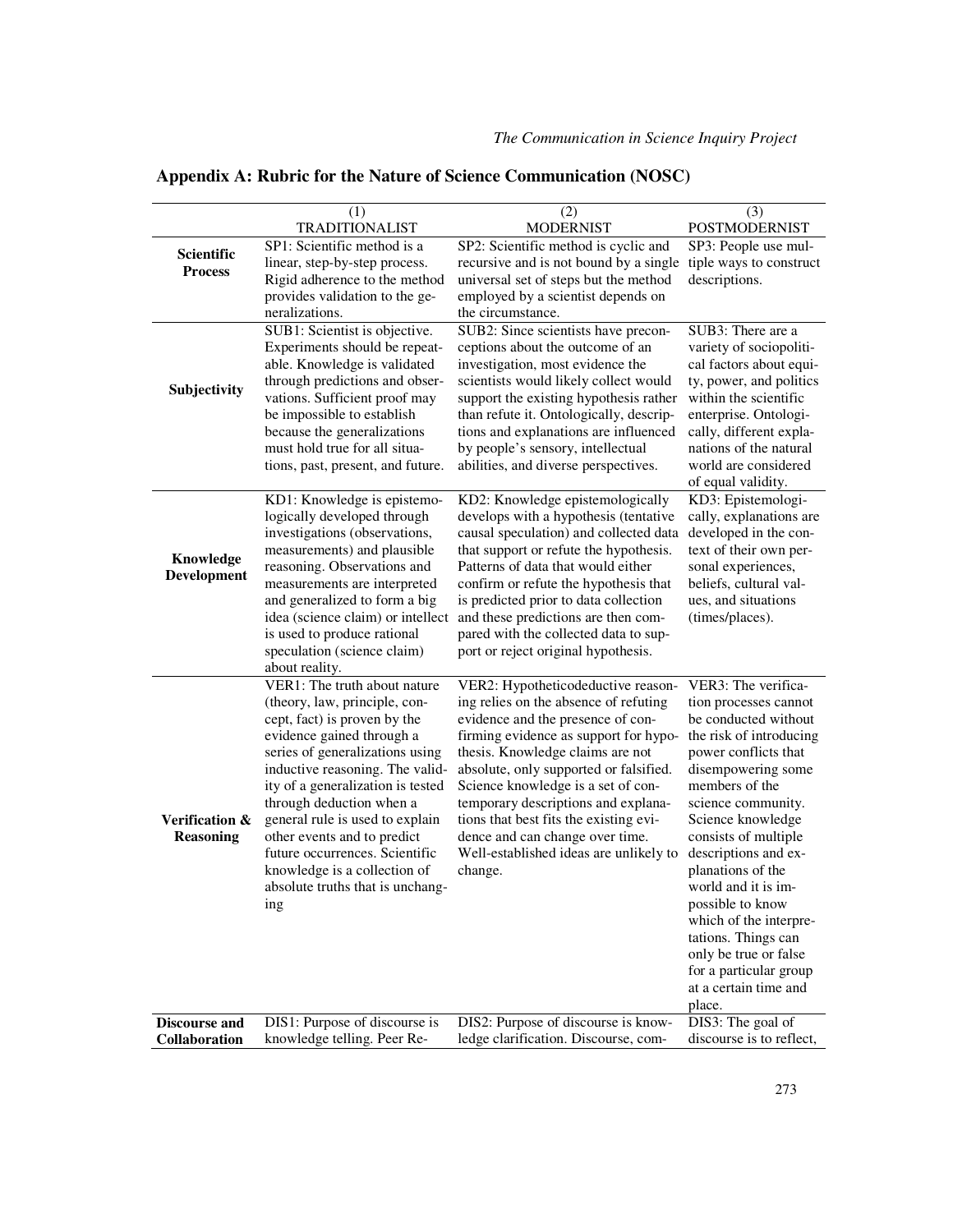|                      | (1)                                                              | (2)                                                                             | (3)                                              |
|----------------------|------------------------------------------------------------------|---------------------------------------------------------------------------------|--------------------------------------------------|
|                      | <b>TRADITIONALIST</b>                                            | <b>MODERNIST</b>                                                                | POSTMODERNIST                                    |
| Scientific           | SP1: Scientific method is a                                      | SP2: Scientific method is cyclic and                                            | SP3: People use mul-                             |
| <b>Process</b>       | linear, step-by-step process.                                    | recursive and is not bound by a single                                          | tiple ways to construct                          |
|                      | Rigid adherence to the method                                    | universal set of steps but the method                                           | descriptions.                                    |
|                      | provides validation to the ge-                                   | employed by a scientist depends on                                              |                                                  |
|                      | neralizations.                                                   | the circumstance.                                                               |                                                  |
|                      | SUB1: Scientist is objective.                                    | SUB2: Since scientists have precon-                                             | SUB3: There are a                                |
| Subjectivity         | Experiments should be repeat-                                    | ceptions about the outcome of an                                                | variety of sociopoliti-                          |
|                      | able. Knowledge is validated                                     | investigation, most evidence the                                                | cal factors about equi-                          |
|                      | through predictions and obser-                                   | scientists would likely collect would<br>support the existing hypothesis rather | ty, power, and politics<br>within the scientific |
|                      | vations. Sufficient proof may<br>be impossible to establish      | than refute it. Ontologically, descrip-                                         | enterprise. Ontologi-                            |
|                      | because the generalizations                                      | tions and explanations are influenced                                           | cally, different expla-                          |
|                      | must hold true for all situa-                                    | by people's sensory, intellectual                                               | nations of the natural                           |
|                      | tions, past, present, and future.                                | abilities, and diverse perspectives.                                            | world are considered                             |
|                      |                                                                  |                                                                                 | of equal validity.                               |
|                      | KD1: Knowledge is epistemo-                                      | KD2: Knowledge epistemologically                                                | KD3: Epistemologi-                               |
|                      | logically developed through                                      | develops with a hypothesis (tentative                                           | cally, explanations are                          |
|                      | investigations (observations,                                    | causal speculation) and collected data                                          | developed in the con-                            |
| Knowledge            | measurements) and plausible                                      | that support or refute the hypothesis.                                          | text of their own per-                           |
| Development          | reasoning. Observations and                                      | Patterns of data that would either                                              | sonal experiences,                               |
|                      | measurements are interpreted                                     | confirm or refute the hypothesis that                                           | beliefs, cultural val-                           |
|                      | and generalized to form a big                                    | is predicted prior to data collection                                           | ues, and situations                              |
|                      | idea (science claim) or intellect                                | and these predictions are then com-                                             | (times/places).                                  |
|                      | is used to produce rational                                      | pared with the collected data to sup-                                           |                                                  |
|                      | speculation (science claim)<br>about reality.                    | port or reject original hypothesis.                                             |                                                  |
|                      | VER1: The truth about nature                                     | VER2: Hypotheticodeductive reason-                                              | VER3: The verifica-                              |
|                      | (theory, law, principle, con-                                    | ing relies on the absence of refuting                                           | tion processes cannot                            |
|                      | cept, fact) is proven by the                                     | evidence and the presence of con-                                               | be conducted without                             |
|                      | evidence gained through a                                        | firming evidence as support for hypo-                                           | the risk of introducing                          |
|                      | series of generalizations using                                  | thesis. Knowledge claims are not                                                | power conflicts that                             |
|                      | inductive reasoning. The valid-                                  | absolute, only supported or falsified.                                          | disempowering some                               |
|                      | ity of a generalization is tested                                | Science knowledge is a set of con-                                              | members of the                                   |
|                      | through deduction when a                                         | temporary descriptions and explana-                                             | science community.                               |
| Verification &       | general rule is used to explain                                  | tions that best fits the existing evi-                                          | Science knowledge                                |
| <b>Reasoning</b>     | other events and to predict<br>future occurrences. Scientific    | dence and can change over time.                                                 | consists of multiple                             |
|                      |                                                                  | Well-established ideas are unlikely to                                          | descriptions and ex-<br>planations of the        |
|                      | knowledge is a collection of<br>absolute truths that is unchang- | change.                                                                         | world and it is im-                              |
|                      | ing                                                              |                                                                                 | possible to know                                 |
|                      |                                                                  |                                                                                 | which of the interpre-                           |
|                      |                                                                  |                                                                                 | tations. Things can                              |
|                      |                                                                  |                                                                                 | only be true or false                            |
|                      |                                                                  |                                                                                 | for a particular group                           |
|                      |                                                                  |                                                                                 | at a certain time and                            |
|                      |                                                                  |                                                                                 | place.                                           |
| <b>Discourse and</b> | DIS1: Purpose of discourse is                                    | DIS2: Purpose of discourse is know-                                             | DIS3: The goal of                                |
| Collaboration        | knowledge telling. Peer Re-                                      | ledge clarification. Discourse, com-                                            | discourse is to reflect,                         |

# **Appendix A: Rubric for the Nature of Science Communication (NOSC)**